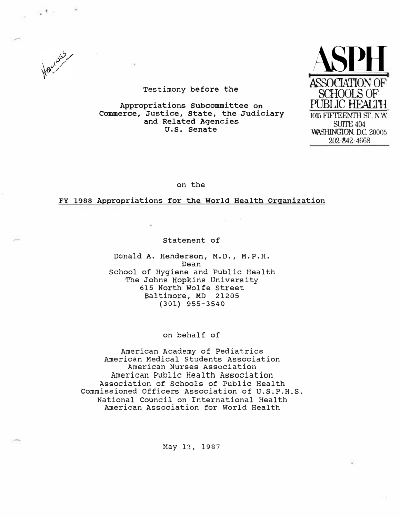

Testimony **before the** 

**Appropriations Subcommittee on Commerce, Justice, State, the Judiciary and Related Agencies U.S. Senate** 



on the

## **FY 1988 Appropriations for the World Health Organization**

Statement of

**Donald A. Henderson, M.D., M.P.H.**  Dean School of Hygiene and Public Health The Johns Hopkins University 615 North Wolfe Street Baltimore, MD 21205 **(301) 955-3540** 

on behalf of

American Academy of Pediatrics American Medical students Association American Nurses Association American Public Health Association Association of Schools of Public Health Commissioned Officers Association of U.S.P.H.S. National Council on International Health American Association for World Health

May 13, 1987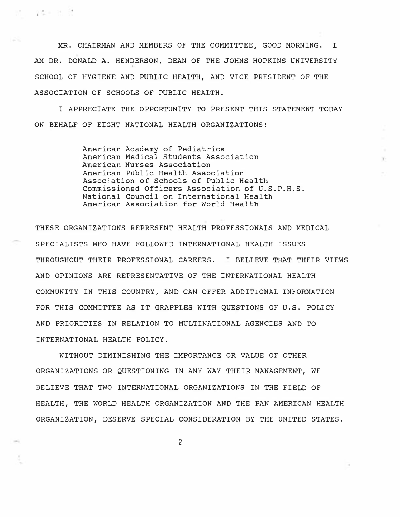MR. CHAIRMAN AND MEMBERS OF THE COMMITTEE, GOOD MORNING. I AM DR. DONALD A. HENDERSON, DEAN OF THE JOHNS HOPKINS UNIVERSITY SCHOOL OF HYGIENE AND PUBLIC HEALTH, AND VICE PRESIDENT OF THE ASSOCIATION OF SCHOOLS OF PUBLIC HEALTH.

- 982 - 25 - 35

I APPRECIATE THE OPPORTUNITY TO PRESENT THIS STATEMENT TODAY ON BEHALF OF EIGHT NATIONAL HEALTH ORGANIZATIONS:

> American Academy of Pediatrics American Medical Students Association American Nurses Association American Public Health Association Association of Schools of Public Health Commissioned Officers Association of U.S.P.H.S. National Council on International Health American Association for World Health

THESE ORGANIZATIONS REPRESENT HEALTH PROFESSIONALS AND MEDICAL SPECIALISTS WHO HAVE FOLLOWED INTERNATIONAL HEALTH ISSUES THROUGHOUT THEIR PROFESSIONAL CAREERS. I BELIEVE THAT THEIR VIEWS AND OPINIONS ARE REPRESENTATIVE OF THE INTERNATIONAL HEALTH COMMUNITY IN THIS COUNTRY, AND CAN OFFER ADDITIONAL INFORMATION FOR THIS COMMITTEE AS IT GRAPPLES WITH QUESTIONS OF U.S. POLICY AND PRIORITIES IN RELATION TO MULTINATIONAL AGENCIES AND TO INTERNATIONAL HEALTH POLICY.

WITHOUT DIMINISHING THE IMPORTANCE OR VALUE OF OTHER ORGANIZATIONS OR QUESTIONING IN ANY WAY THEIR MANAGEMENT, WE BELIEVE THAT TWO INTERNATIONAL ORGANIZATIONS IN THE FIELD OF HEALTH, THE WORLD HEALTH ORGANIZATION AND THE PAN AMERICAN HEALTH ORGANIZATION, DESERVE SPECIAL CONSIDERATION BY THE UNITED STATES.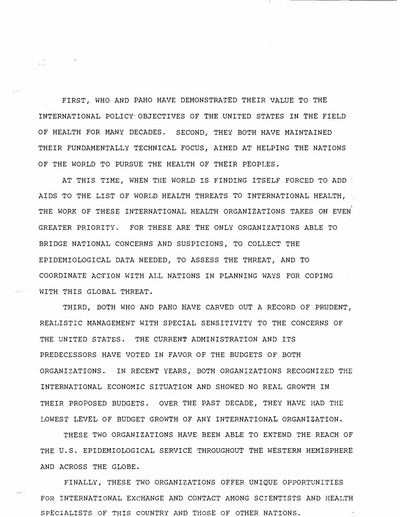FIRST, WHO AND PAHO HAVE DEMONSTRATED THEIR VALUE TO THE INTERNATIONAL POLICY·OBJECTIVES OF THE UNITED STATES IN THE FIELD OF HEALTH FOR MANY DECADES. SECOND, THEY BOTH HAVE MAINTAINED THEIR FUNDAMENTALLY TECHNICAL FOCUS, AIMED AT HELPING THE NATIONS OF THE WORLD TO PURSUE THE HEALTH OF THEIR PEOPLES,

AT THIS TIME, WHEN THE WORLD IS FINDING ITSELF FORCED TO ADD AIDS TO THE LIST OF WORLD HEALTH THREATS TO INTERNATIONAL HEALTH, THE WORK OF THESE INTERNATIONAL HEALTH ORGANIZATIONS TAKES ON EVEN $\degree$ GREATER PRIORITY. FOR THESE ARE THE ONLY ORGANIZATIONS ABLE TO BRIDGE NATIONAL CONCERNS AND SUSPICIONS, TO COLLECT THE EPIDEMIOLOGICAL DATA NEEDED, TO ASSESS THE THREAT, AND TO COORDINATE AC�ION WITH ALL NATIONS IN PLANNING WAYS FOR COPING WITH THIS GLOBAL THREAT,

 $\frac{1}{\sqrt{2}}$  . Next, we have

THIRD, BOTH WHO AND PAHO HAVE CARVED OUT A RECORD OF PRUDENT, REALISTIC MANAGEMENT WITH SPECIAL SENSITIVITY TO THE CONCERNS OF THE UNITED STATES. THE CURRENT ADMINISTRATION AND ITS PREDECESSORS HAVE VOTED IN FAVOR OF THE BUDGETS OF BOTH ORGANIZATIONS. IN RECENT YEARS, BOTH ORGANIZATIONS RECOGNIZED THE INTERNATIONAL ECONOMIC SITUATION AND SHOWED NO REAL GROWTH IN THEIR PROPOSED BUDGETS. OVER THE PAST DECADE, THEY HAVE HAD THE LOWEST LEVEL OF BUDGET GROWTH OF ANY INTERNATIONAL ORGANIZATION,

THESE TWO ORGANIZATIONS HAVE BEEN ABLE TO EXTEND THE REACH OF THE U.S. EPIDEMIOLOGICAL SERVICE THROUGHOUT THE WESTERN HEMISPHERE AND ACROSS THE GLOBE.

FINALLY, THESE TWO ORGANIZATIONS OFFER UNIQUE OPPORTUNITIES FOR INTERNATIONAL EXCHANGE AND CONTACT AMONG SCIENTISTS AND HEALTH SPECIALISTS OF THIS COUNTRY AND THOSE OF OTHER NATIONS.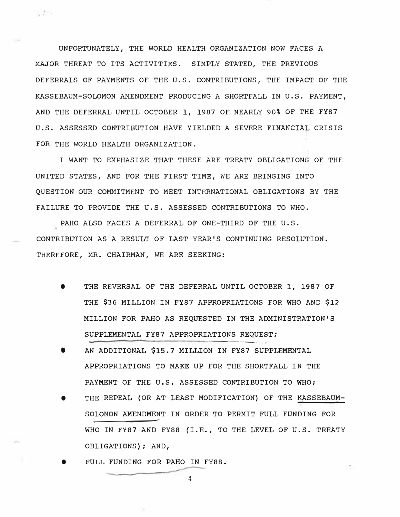UNFORTUNATELY, THE WORLD HEALTH ORGANIZATION NOW FACES A MAJOR THREAT TO ITS ACTIVITIES. SIMPLY STATED, THE PREVIOUS DEFERRALS OF PAYMENTS OF THE U.S. CONTRIBUTIONS, THE IMPACT OF THE KASSEBAUM-SOLOMON AMENDMENT PRODUCING A SHORTFALL IN U.S. PAYMENT, AND THE DEFERRAL UNTIL OCTOBER 1, 1987 OF NEARLY 90% OF THE FY87 U.S. ASSESSED CONTRIBUTION HAVE YIELDED A SEVERE **FINANCIAi** CRISIS FOR THE WORLD HEALTH ORGANIZATION.

4424

I WANT TO EMPHASIZE THAT THESE ARE TREATY OBLIGATIONS OF THE UNITED STATES, AND FOR THE FIRST TIME, WE ARE BRINGING INTO QUESTION OUR COMMITMENT TO MEET INTERNATIONAL OBLIGATIONS BY THE FAILURE TO PROVIDE THE U.S. ASSESSED CONTRIBUTIONS TO WHO.

PAHO ALSO FACES A DEFERRAL OF ONE-THIRD OF THE U.S. CONTRIBUTION AS A RESULT OF LAST YEAR'S CONTINUING RESOLUTION. THEREFORE, MR. CHAIRMAN, WE ARE SEEKING:

- e THE REVERSAL OF THE DEFERRAL UNTIL OCTOBER 1, 1987 OF THE \$36 MILLION IN FY87 APPROPRIATIONS FOR WHO AND \$12 MILLION FOR PAHO AS REQUESTED IN THE ADMINISTRATION'S SUPPLEMENTAL FY87 APPROPRIATIONS REQUEST;
- AN ADDITIONAL \$15.7 MILLION IN FY87 SUPPLEMENTAL APPROPRIATIONS TO MAKE UP FOR THE SHORTFALL IN THE PAYMENT OF THE U.S. ASSESSED CONTRIBUTION TO WHO:
- THE REPEAL (OR AT LEAST MODIFICATION) OF THE KASSEBAUM-SOLOMON AMENDMENT IN ORDER TO PERMIT FULL FUNDING FOR  $\overbrace{\hspace{4.5em}}$ WHO IN FY87 AND FY88 (I.E., TO THE LEVEL OF U.S. TREATY OBLIGATIONS); AND,
- e FULL FUNDING FOR PAHO IN FY88.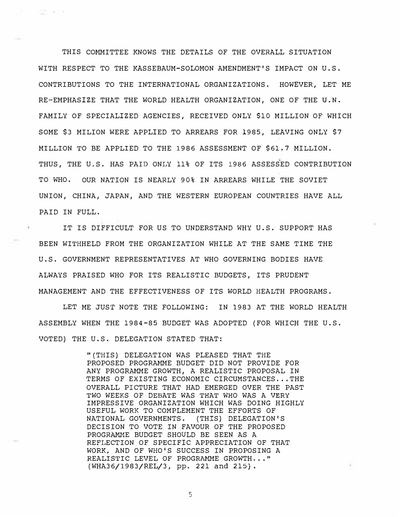THIS COMMITTEE KNOWS THE DETAILS OF THE OVERALL SITUATION WITH RESPECT TO THE KASSEBAUM-SOLOMON AMENDMENT'S IMPACT ON U.S. CONTRIBUTIONS TO THE INTERNATIONAL ORGANIZATIONS. HOWEVER, LET ME RE-EMPHASIZE THAT THE WORLD HEALTH ORGANIZATION, ONE OF THE U.N. FAMILY OF SPECIALIZED AGENCIES, RECEIVED ONLY \$10 MILLION OF WHICH SOME \$3 MILION WERE APPLIED TO ARREARS FOR 1985, LEAVING ONLY \$7 MILLION TO BE APPLIED TO THE 1986 ASSESSMENT OF \$61,7 MILLION . THUS, THE U.S. HAS PAID ONLY 11% OF ITS 1986 ASSESSED CONTRIBUTION TO WHO. OUR NATION IS NEARLY 90% IN ARREARS WHILE THE SOVIET UNION, CHINA, JAPAN, AND THE WESTERN EUROPEAN COUNTRIES HAVE ALL PAID IN FULL.

- 발음 : 포함

IT IS DIFFICULT FOR US TO UNDERSTAND WHY U.S. SUPPORT HAS BEEN WITHHELD FROM THE ORGANIZATION WHILE AT THE SAME TIME THE U.S. GOVERNMENT REPRESENTATIVES AT WHO GOVERNING BODIES HAVE ALWAYS PRAISED WHO FOR ITS REALISTIC BUDGETS, ITS PRUDENT MANAGEMENT AND THE EFFECTIVENESS OF ITS WORLD HEALTH PROGRAMS.

LET ME JUST NOTE THE FOLLOWING: IN 1983 AT THE WORLD HEALTH ASSEMBLY WHEN THE 1984-85 BUDGET WAS ADOPTED (FOR WHICH THE U.S. VOTED) THE U.S. DELEGATION STATED THAT:

> "(THIS) DELEGATION WAS PLEASED THAT THE PROPOSED PROGRAMME BUDGET DID NOT PROVIDE FOR ANY PROGRAMME GROWTH, A REALISTIC PROPOSAL IN TERMS OF EXISTING ECONOMIC CIRCUMSTANCES ... THE OVERALL PICTURE THAT HAD EMERGED OVER THE PAST TWO WEEKS OF DEBATE WAS THAT WHO WAS A VERY IMPRESSIVE ORGANIZATION WHICH WAS DOING HIGHLY USEFUL WORK TO COMPLEMENT THE EFFORTS OF NATIONAL GOVERNMENTS. (THIS) DELEGATION'S DECISION TO VOTE IN FAVOUR OF THE PROPOSED PROGRAMME BUDGET SHOULD BE SEEN AS A REFLECTION OF SPECIFIC APPRECIATION OF THAT WORK, AND OF WHO'S SUCCESS IN PROPOSING A REALISTIC LEVEL OF PROGRAMME GROWTH, .. " (WHA36/1983/REL/3, pp. 221 and 215},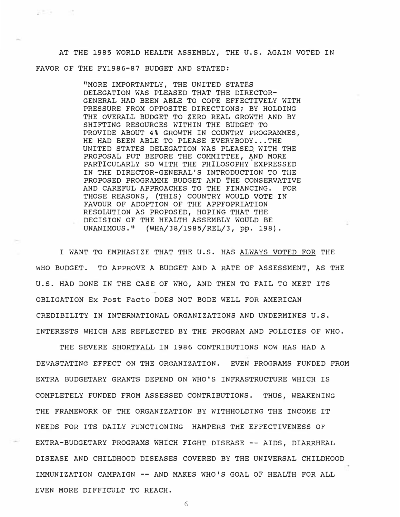AT THE 1985 WORLD HEALTH ASSEMBLY, THE U.S. AGAIN VOTED IN FAVOR OF THE FY1986-87 BUDGET AND STATED:

装置装置 一个人的

"MORE IMPORTANTLY, THE UNITED STATES DELEGATION WAS PLEASED THAT THE DIRECTOR-GENERAL HAD BEEN ABLE TO COPE EFFECTIVELY WITH PRESSURE FROM OPPOSITE DIRECTIONS; BY HOLDING THE OVERALL BUDGET TO ZERO REAL GROWTH AND BY SHIFTING RESOURCES WITHIN THE BUDGET TO PROVIDE ABOUT 4% GROWTH IN COUNTRY PROGRAMMES, HE HAD BEEN ABLE TO PLEASE EVERYBODY ... THE UNITED STATES DELEGATION WAS PLEASED WITH THE PROPOSAL PUT BEFORE THE COMMITTEE, AND MORE PARTICULARLY SO WITH THE PHILOSOPHY EXPRESSED IN THE DIRECTOR-GENERAL'S INTRODUCTION TO THE PROPOSED PROGRAMME BUDGET AND THE CONSERVATIVE AND CAREFUL APPROACHES TO THE FINANCING. FOR THOSE REASONS, (THIS} COUNTRY WOULD VOTE IN FAVOUR OF ADOPTION OF THE APPFOPRIATION RESOLUTION AS PROPOSED, HOPING THAT THE DECISION OF THE HEALTH ASSEMBLY WOULD BE UNANIMOUS." (WHA/38/1985/REL/3, pp. 198) .

I WANT TO EMPHASIZE THAT THE U.S. HAS ALWAYS VOTED FOR THE WHO BUDGET. TO APPROVE A BUDGET AND A RATE OF ASSESSMENT, AS THE U.S. HAD DONE IN THE CASE OF WHO, AND THEN TO FAIL TO MEET ITS OBLIGATION Ex Post Facto DOES NOT BODE WELL FOR AMERICAN CREDIBILITY IN INTERNATIONAL ORGANIZATIONS AND UNDERMINES U.S. INTERESTS WHICH ARE REFLECTED BY THE PROGRAM AND POLICIES OF WHO.

THE SEVERE SHORTFALL IN 1986 CONTRIBUTIONS NOW HAS HAD A DEVASTATING EFFECT ON THE ORGANIZATION. EVEN PROGRAMS FUNDED FROM EXTRA BUDGETARY GRANTS DEPEND ON WHO'S INFRASTRUCTURE WHICH IS COMPLETELY FUNDED FROM ASSESSED CONTRIBUTIONS. THUS, WEAKENING THE FRAMEWORK OF THE ORGANIZATION BY WITHHOLDING THE INCOME IT NEEDS FOR ITS DAILY FUNCTIONING HAMPERS THE EFFECTIVENESS OF EXTRA-BUDGETARY PROGRAMS WHICH FIGHT DISEASE -- AIDS, DIARRHEAL DISEASE AND CHILDHOOD DISEASES COVERED BY THE UNIVERSAL CHILDHOOD IMMUNIZATION CAMPAIGN -- AND MAKES WHO'S GOAL OF HEALTH FOR ALL EVEN MORE DIFFICULT TO REACH.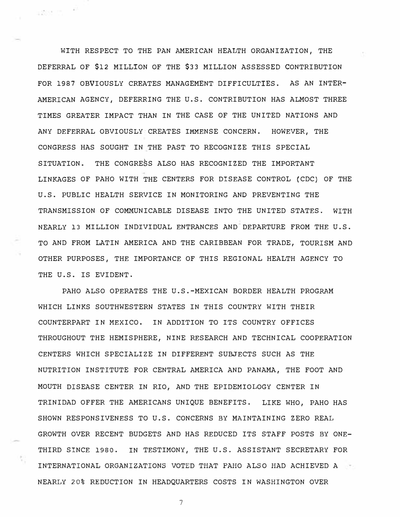WITH RESPECT TO THE PAN AMERICAN HEALTH ORGANIZATION, THE DEFERRAL OF \$12 MILLION OF THE \$33 MILLION ASSESSED CONTRIBUTION FOR 1987 OBVIOUSLY CREATES MANAGEMENT DIFFICULTIES. AS AN INTER-AMERICAN AGENCY, DEFERRING THE U.S. CONTRIBUTION HAS ALMOST THREE TIMES GREATER IMPACT THAN IN THE CASE OF THE UNITED NATIONS AND ANY DEFERRAL OBVIOUSLY:CREATES IMMENSE CONCERN. HOWEVER, THE CONGRESS HAS SOUGHT IN THE PAST TO RECOGNIZE THIS SPECIAL SITUATION. THE CONGRESS ALSO HAS RECOGNIZED THE IMPORTANT LINKAGES OF PAHO WITH THE CENTERS FOR DISEASE CONTROL (CDC) OF THE U.S. PUBLIC HEALTH SERVICE IN MONITORING AND PREVENTING THE TRANSMISSION OF COMMUNICABLE DISEASE INTO THE UNITED STATES. WITH NEARLY 13 MILLION INDIVIDUAL ENTRANCES AND DEPARTURE FROM THE U.S. TO AND FROM LATIN AMERICA AND THE CARIBBEAN FOR TRADE, TOURISM AND OTHER PURPOSES, THE IMPORTANCE OF THIS REGIONAL HEALTH AGENCY TO THE U.S. IS EVIDENT,

 $\approx 288$   $^{-12}$   $^{-11}$ 

PAHO ALSO OPERATES THE U.S.-MEXICAN BORDER HEALTH PROGRAM WHICH LINKS SOUTHWESTERN STATES IN THIS COUNTRY WITH THEIR COUNTERPART IN MEXICO, IN ADDITION TO ITS COUNTRY OFFICES THROUGHOUT THE HEMISPHERE, NINE RESEARCH AND TECHNICAL COOPERATION CENTERS WHICH SPECIALIZE IN DIFFERENT SUBJECTS SUCH AS THE NUTRITION INSTITUTE FOR CENTRAL AMERICA AND PANAMA, THE FOOT AND MOUTH DISEASE CENTER IN RIO, AND THE EPIDEMIOLOGY CENTER IN TRINIDAD OFFER THE AMERICANS UNIQUE BENEFITS. LIKE WHO, PAHO HAS SHOWN RESPONSIVENESS TO U.S. CONCERNS BY MAINTAINING ZERO REAL GROWTH OVER RECENT BUDGETS AND HAS REDUCED ITS STAFF POSTS BY ONE-THIRD SINCE 1980. IN TESTIMONY, THE U.S. ASSISTANT SECRETARY FOR INTERNATIONAL ORGANIZATIONS VOTED THAT PAHO ALSO HAD ACHIEVED A NEARLY 20% REDUCTION IN HEADQUARTERS COSTS IN WASHINGTON OVER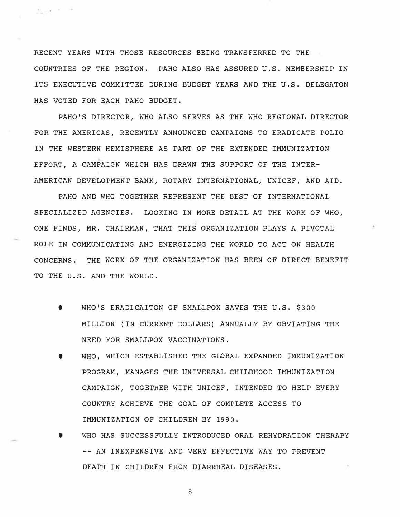RECENT YEARS WITH THOSE RESOURCES BEING TRANSFERRED TO THE COUNTRIES OF THE REGION. PAHO ALSO HAS ASSURED U.S. MEMBERSHIP IN ITS EXECUTIVE COMMITTEE DURING BUDGET YEARS AND THE U.S. DELEGATON HAS VOTED FOR EACH PAHO BUDGET.

 $\frac{N}{2m}$  gives  $^{-1.1-1.1-1.1}$ 

PAHO'S DIRECTOR, WHO ALSO SERVES AS THE WHO REGIONAL DIRECTOR FOR THE AMERICAS, RECENTLY ANNOUNCED CAMPAIGNS TO ERADICATE POLIO IN THE WESTERN HEMISPHERE AS PART OF THE EXTENDED IMMUNIZATION EFFORT, A CAMPAIGN WHICH HAS DRAWN THE SUPPORT OF THE INTER-AMERICAN DEVELOPMENT BANK, ROTARY INTERNATIONAL, UNICEF, AND AID.

PAHO AND WHO TOGETHER REPRESENT THE BEST OF INTERNATIONAL SPECIALIZED AGENCIES. LOOKING IN MORE DETAIL AT THE WORK OF WHO, ONE FINDS, MR. CHAIRMAN, THAT THIS ORGANIZATION PLAYS A PIVOTAL ROLE IN COMMUNICATING AND ENERGIZING THE WORLD TO ACT ON HEALTH CONCERNS. THE WORK OF THE ORGANIZATION HAS BEEN OF DIRECT BENEFIT TO THE U.S. AND THE WORLD.

- WHO'S ERADICAITON OF SMALLPOX SAVES THE U.S. \$300 MILLION (IN CURRENT DOLLARS) ANNUALLY BY OBVIATING THE NEED FOR SMALLPOX VACCINATIONS.
- WHO, WHICH ESTABLISHED THE GLCBAL EXPANDED IMMUNIZATION PROGRAM, MANAGES THE UNIVERSAL CHILDHOOD IMMUNIZATION CAMPAIGN, TOGETHER WITH UNICEF, INTENDED TO HELP EVERY COUNTRY ACHIEVE THE GOAL OF COMPLETE ACCESS TO IMMUNIZATION OF CHILDREN BY 1990.
- WHO HAS SUCCESSFULLY INTRODUCED ORAL REHYDRATION THERAPY -- AN INEXPENSIVE AND VERY EFFECTIVE WAY TO PREVENT DEATH IN CHILDREN FROM DIARRHEAL DISEASES.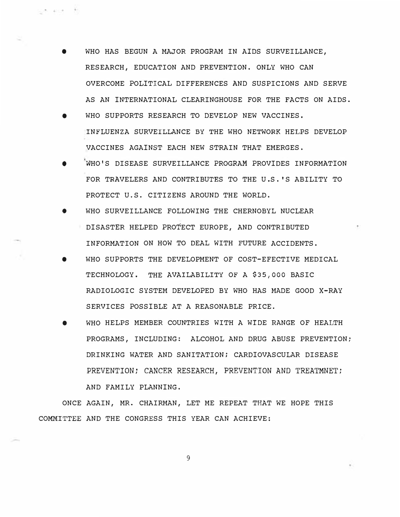WHO HAS BEGUN A MAJOR PROGRAM IN AIDS SURVEILLANCE, RESEARCH, EDUCATION AND PREVENTION. ONLY WHO CAN OVERCOME POLITICAL DIFFERENCES AND SUSPICIONS AND SERVE AS AN INTERNATIONAL CLEARINGHOUSE FOR THE FACTS ON AIDS.

ුල දායක වි

- WHO SUPPORTS RESEARCH TO DEVELOP NEW VACCINES. INFLUENZA SURVEILLANCE BY THE WHO NETWORK HELPS DEVELOP VACCINES AGAINST EACH NEW STRAIN THAT EMERGES.
- **e** WHO'S DISEASE SURVEILLANCE PROGRAM PROVIDES INFORMATION FOR TRAVELERS AND CONTRIBUTES TO THE U.S. 'S ABILITY TO PROTECT U.S. CITIZENS AROUND THE WORLD.
- WHO SURVEILLANCE FOLLOWING THE CHERNOBYL NUCLEAR DISASTER HELPED PROTECT EUROPE, AND CONTRIBUTED INFORMATION ON HOW TO DEAL WITH FUTURE ACCIDENTS.
- e WHO SUPPORTS THE DEVELOPMENT OF COST-EFECTIVE MEDICAL TECHNOLOGY. THE AVAILABILITY OF A \$35,000 BASIC RADIOLOGIC SYSTEM DEVELOPED BY WHO HAS MADE GOOD X-RAY SERVICES POSSIBLE AT A REASONABLE PRICE.
- WHO HELPS MEMBER COUNTRIES WITH A WIDE RANGE OF HEALTH PROGRAMS, INCLUDING: ALCOHOL AND DRUG ABUSE PREVENTION; DRINKING WATER AND SANITATION; CARDIOVASCULAR DISEASE PREVENTION; CANCER RESEARCH, PREVENTION AND TREATMNET; AND FAMILY PLANNING.

ONCE AGAIN, MR. CHAIRMAN, LET ME REPEAT THAT WE HOPE THIS COMMITTEE AND THE CONGRESS THIS YEAR CAN ACHIEVE: